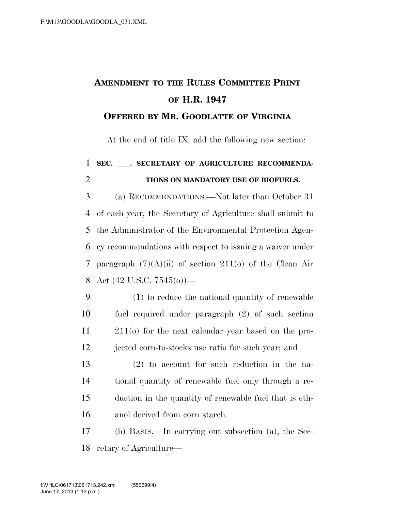## **AMENDMENT TO THE RULES COMMITTEE PRINT OF H.R. 1947**

## **OFFERED BY MR. GOODLATTE OF VIRGINIA**

At the end of title IX, add the following new section:

## **SEC.** ll**. SECRETARY OF AGRICULTURE RECOMMENDA-TIONS ON MANDATORY USE OF BIOFUELS.**

 (a) RECOMMENDATIONS.—Not later than October 31 of each year, the Secretary of Agriculture shall submit to the Administrator of the Environmental Protection Agen- cy recommendations with respect to issuing a waiver under 7 paragraph  $(7)(A)(ii)$  of section  $211(0)$  of the Clean Air 8 Act  $(42 \text{ U.S.C. } 7545(0))$ —

- (1) to reduce the national quantity of renewable fuel required under paragraph (2) of such section 211(o) for the next calendar year based on the pro-jected corn-to-stocks use ratio for such year; and
- (2) to account for such reduction in the na- tional quantity of renewable fuel only through a re- duction in the quantity of renewable fuel that is eth-anol derived from corn starch.

 (b) BASIS.—In carrying out subsection (a), the Sec-retary of Agriculture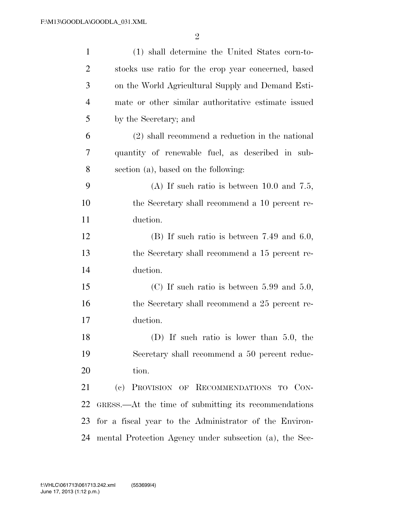| $\mathbf{1}$   | (1) shall determine the United States corn-to-          |
|----------------|---------------------------------------------------------|
| $\overline{2}$ | stocks use ratio for the crop year concerned, based     |
| 3              | on the World Agricultural Supply and Demand Esti-       |
| $\overline{4}$ | mate or other similar authoritative estimate issued     |
| 5              | by the Secretary; and                                   |
| 6              | $(2)$ shall recommend a reduction in the national       |
| 7              | quantity of renewable fuel, as described in sub-        |
| 8              | section (a), based on the following:                    |
| 9              | (A) If such ratio is between $10.0$ and $7.5$ ,         |
| 10             | the Secretary shall recommend a 10 percent re-          |
| 11             | duction.                                                |
| 12             | $(B)$ If such ratio is between 7.49 and 6.0,            |
| 13             | the Secretary shall recommend a 15 percent re-          |
| 14             | duction.                                                |
| 15             | (C) If such ratio is between $5.99$ and $5.0$ ,         |
| 16             | the Secretary shall recommend a 25 percent re-          |
| 17             | duction.                                                |
| 18             | $(D)$ If such ratio is lower than 5.0, the              |
| 19             | Secretary shall recommend a 50 percent reduc-           |
| 20             | tion.                                                   |
| 21             | (c) PROVISION OF RECOMMENDATIONS TO CON-                |
| 22             | GRESS.—At the time of submitting its recommendations    |
| 23             | for a fiscal year to the Administrator of the Environ-  |
| 24             | mental Protection Agency under subsection (a), the Sec- |